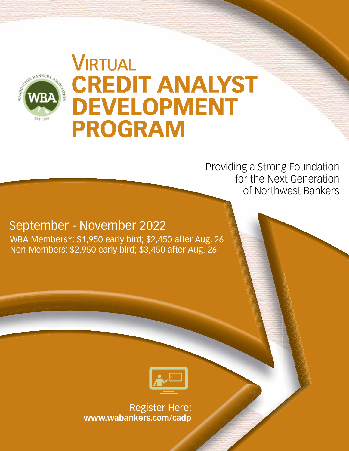

# **VIRTUAL CREDIT ANALYST DEVELOPMENT PROGRAM**

Providing a Strong Foundation for the Next Generation of Northwest Bankers

September - November 2022

WBA Members\*: \$1,950 early bird; \$2,450 after Aug. 26 Non-Members: \$2,950 early bird; \$3,450 after Aug. 26



Register Here: **www.wabankers.com/cadp**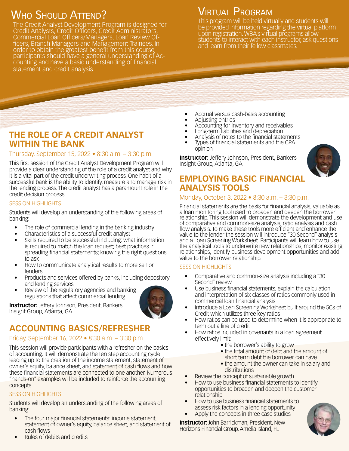# WHO SHOULD ATTEND?

The Credit Analyst Development Program is designed for Credit Analysts, Credit Officers, Credit Administrators, Commercial Loan Officers/Managers, Loan Review Officers, Branch Managers and Management Trainees. In order to obtain the greatest benefit from this course, participants should have a general understanding of Accounting and have a basic understanding of financial statement and credit analysis.

## Virtual Program

This program will be held virtually and students will be provided information regarding the virtual platform upon registration. WBA's virtual programs allow students to interact with each instructor, ask questions and learn from their fellow classmates.

### **THE ROLE OF A CREDIT ANALYST WITHIN THE BANK**

### Thursday, September 15, 2022 • 8:30 a.m. – 3:30 p.m.

This first session of the Credit Analyst Development Program will provide a clear understanding of the role of a credit analyst and why it is a vital part of the credit underwriting process. One habit of a successful bank is the ability to identify, measure and manage risk in the lending process. The credit analyst has a paramount role in the credit decision process.

### SESSION HIGHLIGHTS

Students will develop an understanding of the following areas of banking:

- The role of commercial lending in the banking industry
- Characteristics of a successful credit analyst
- Skills required to be successful including: what information is required to match the loan request; best practices in spreading financial statements; knowing the right questions to ask
- How to communicate analytical results to more senior lenders
- Products and services offered by banks, including depository and lending services
- Review of the regulatory agencies and banking regulations that affect commercial lending



**Instructor:** Jeffery Johnson, President, Bankers Insight Group, Atlanta, GA

### **ACCOUNTING BASICS/REFRESHER**

### Friday, September 16, 2022 • 8:30 a.m. – 3:30 p.m.

This session will provide participants with a refresher on the basics of accounting. It will demonstrate the ten step accounting cycle leading up to the creation of the income statement, statement of owner's equity, balance sheet, and statement of cash flows and how these financial statements are connected to one another. Numerous "hands-on" examples will be included to reinforce the accounting concepts.

### SESSION HIGHLIGHTS

Students will develop an understanding of the following areas of banking:

- The four major financial statements: income statement, statement of owner's equity, balance sheet, and statement of cash flows
- Rules of debits and credits
- Accrual versus cash-basis accounting
- Adjusting entries
- Accounting for inventory and receivables
- Long-term liabilities and depreciation
- Analysis of notes to the financial statements
- Types of financial statements and the CPA opinion

**Instructor:** Jeffery Johnson, President, Bankers Insight Group, Atlanta, GA



### **EMPLOYING BASIC FINANCIAL ANALYSIS TOOLS**

### Monday, October 3, 2022 • 8:30 a.m. – 3:30 p.m.

Financial statements are the basis for financial analysis, valuable as a loan monitoring tool used to broaden and deepen the borrower relationship. This session will demonstrate the development and use of comparative and common-size analysis, ratio analysis and cash flow analysis. To make these tools more efficient and enhance the value to the lender the session will introduce "30 Second" analysis and a Loan Screening Worksheet. Participants will learn how to use the analytical tools to underwrite new relationships, monitor existing relationships, identify business development opportunities and add value to the borrower relationship.

### SESSION HIGHLIGHTS

- Comparative and common-size analysis including a "30 Second" review
- Use business financial statements, explain the calculation and interpretation of six classes of ratios commonly used in commercial loan financial analysis
- Introduce a Loan Screening Worksheet built around the 5Cs of Credit which utilizes three key ratios
- How ratios can be used to determine when it is appropriate to term out a line of credit
- How ratios included in covenants in a loan agreement effectively limit:
	- the borrower's ability to grow
	- the total amount of debt and the amount of short term debt the borrower can have
	- the amount the owner can take in salary and distributions
- Review the concept of sustainable growth
- How to use business financial statements to identify opportunities to broaden and deepen the customer relationship
- How to use business financial statements to assess risk factors in a lending opportunity
- Apply the concepts in three case studies

**Instructor:** John Barrickman, President, New Horizons Financial Group, Amelia Island, FL

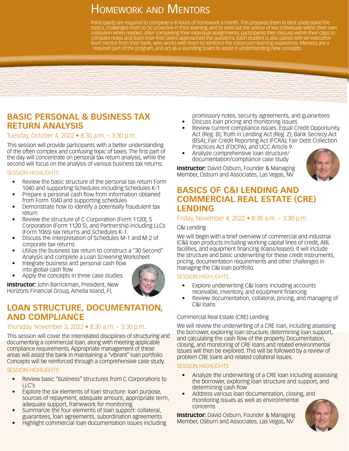# HOMEWORK AND MENTORS

Participants are required to complete 6-8 hours of homework a month. This prepares them to best understand the topics, challenges them to be proactive in their learning, and to seek out the advice of key individuals within their own institution when needed. After completing their individual assignments, participants then discuss within their class to compare notes and learn how their peers approached the questions. Each student is also paired with an executivelevel mentor from their bank, who works with them to reinforce the classroom learning experience. Mentors are a required part of the program, and act as a sounding board to assist in understanding new concepts.



### Tuesday, October 4, 2022 • 8:30 a.m. – 3:30 p.m.

This session will provide participants with a better understanding of the often complex and confusing topic of taxes. The first part of the day will concentrate on personal tax return analysis, while the second will focus on the analysis of various business tax returns.

#### SESSION HIGHLIGHTS

- Review the basic structure of the personal tax return Form 1040 and supporting Schedules including Schedules K-1
- Prepare a personal cash flow from information obtained from Form 1040 and supporting schedules
- Demonstrate how to identify a potentially fraudulent tax return
- Review the structure of C Corporation (Form 1120), S Corporation (Form 1120 S), and Partnership including LLCs (Form 1065) tax returns and Schedules K-1.
- Discuss the interpretation of Schedules M-1 and M-2 of corporate tax returns
- Utilize the business tax return to construct a "30 Second" Analysis and complete a Loan Screening Worksheet
- Integrate business and personal cash flow into global cash flow
- Apply the concepts in three case studies

**Instructor:** John Barrickman, President, New Horizons Financial Group, Amelia Island, FL

# **LOAN STRUCTURE, DOCUMENTATION, AND COMPLIANCE**

### Thursday, November 3, 2022 • 8:30 a.m. – 3:30 p.m.

This session will cover the interrelated disciplines of structuring and documenting a commercial loan, along with meeting applicable compliance requirements. Appropriate management of these areas will assist the bank in maintaining a "vibrant" loan portfolio. Concepts will be reinforced through a comprehensive case study.

### SESSION HIGHLIGHTS

- Review basic "business" structures from C Corporations to LLC's
- Explore the six elements of loan structure: loan purpose, sources of repayment, adequate amount, appropriate term, adequate support, framework for monitoring
- Summarize the four elements of loan support: collateral, guarantees, loan agreements, subordination agreements
- Highlight commercial loan documentation issues including

promissory notes, security agreements, and guarantees

- Discuss loan pricing and monitoring issues
- Review current compliance issues: Equal Credit Opportunity Act (Reg. B); Truth in Lending Act (Reg. Z); Bank Secrecy Act (BSA); Fair Credit Reporting Act (FCRA); Fair Debt Collection Practices Act (FDCPA); and UCC Article 9
- Analyze comprehensive loan structure/ documentation/compliance case study

**Instructor:** David Osburn, Founder & Managing Member, Osburn and Associates, Las Vegas, NV



### **BASICS OF C&I LENDING AND COMMERCIAL REAL ESTATE (CRE) LENDING**

### Friday, November 4, 2022 • 8:30 a.m. – 3:30 p.m.

#### C&I Lending

We will begin with a brief overview of commercial and industrial (C&I) loan products including working capital lines of credit, ABL facilities, and equipment financing (loans/leases). It will include the structure and basic underwriting for these credit instruments, pricing, documentation requirements and other challenges in managing the C&I loan portfolio.

#### SESSION HIGHLIGHTS

- Explore underwriting C&I loans including accounts receivable, inventory, and equipment financing
- Review documentation, collateral, pricing, and managing of C&I loans

### Commercial Real Estate (CRE) Lending

We will review the underwriting of a CRE loan, including assessing the borrower, exploring loan structure, determining loan support, and calculating the cash flow of the property. Documentation, closing, and monitoring of CRE loans and related environmental issues will then be explored. This will be followed by a review of problem CRE loans and related collateral issues.

#### SESSION HIGHLIGHTS

- Analyze the underwriting of a CRE loan including assessing the borrower, exploring loan structure and support, and determining cash flow
- Address various loan documentation, closing, and monitoring issues as well as environmental concerns

**Instructor:** David Osburn, Founder & Managing Member, Osburn and Associates, Las Vegas, NV